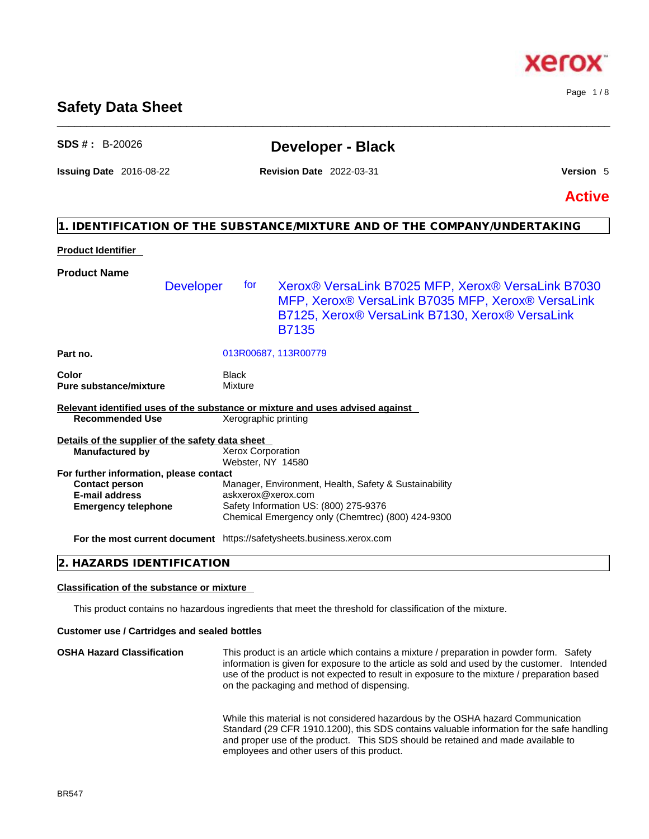# **Safety Data Sheet**

# **SDS # :** B-20026 **Developer - Black**

\_\_\_\_\_\_\_\_\_\_\_\_\_\_\_\_\_\_\_\_\_\_\_\_\_\_\_\_\_\_\_\_\_\_\_\_\_\_\_\_\_\_\_\_\_\_\_\_\_\_\_\_\_\_\_\_\_\_\_\_\_\_\_\_\_\_\_\_\_\_\_\_\_\_\_\_\_\_\_\_\_\_\_\_\_\_\_\_\_\_\_\_\_\_

**Issuing Date** 2016-08-22 **Revision Date** 2022-03-31 **Version** 5

Page 1 / 8

**Active**

## **1. IDENTIFICATION OF THE SUBSTANCE/MIXTURE AND OF THE COMPANY/UNDERTAKING**

## **Product Identifier**

| <b>Product Name</b><br>Xerox® VersaLink B7025 MFP, Xerox® VersaLink B7030<br><b>Developer</b><br>for to<br>MFP, Xerox® VersaLink B7035 MFP, Xerox® VersaLink<br>B7125, Xerox® VersaLink B7130, Xerox® VersaLink<br><b>B7135</b><br>Part no.<br>013R00687, 113R00779<br>Color<br>Black<br><b>Pure substance/mixture</b><br>Mixture |  |
|-----------------------------------------------------------------------------------------------------------------------------------------------------------------------------------------------------------------------------------------------------------------------------------------------------------------------------------|--|
|                                                                                                                                                                                                                                                                                                                                   |  |
|                                                                                                                                                                                                                                                                                                                                   |  |
|                                                                                                                                                                                                                                                                                                                                   |  |
|                                                                                                                                                                                                                                                                                                                                   |  |
| Relevant identified uses of the substance or mixture and uses advised against                                                                                                                                                                                                                                                     |  |
| <b>Recommended Use</b><br>Xerographic printing                                                                                                                                                                                                                                                                                    |  |
| Details of the supplier of the safety data sheet                                                                                                                                                                                                                                                                                  |  |
| <b>Xerox Corporation</b><br><b>Manufactured by</b><br>Webster, NY 14580                                                                                                                                                                                                                                                           |  |
| For further information, please contact                                                                                                                                                                                                                                                                                           |  |
| Manager, Environment, Health, Safety & Sustainability<br><b>Contact person</b>                                                                                                                                                                                                                                                    |  |
| <b>E-mail address</b><br>askxerox@xerox.com                                                                                                                                                                                                                                                                                       |  |
| Safety Information US: (800) 275-9376<br><b>Emergency telephone</b><br>Chemical Emergency only (Chemtrec) (800) 424-9300                                                                                                                                                                                                          |  |
| For the most current document https://safetysheets.business.xerox.com                                                                                                                                                                                                                                                             |  |

## **2. HAZARDS IDENTIFICATION**

## **Classification of the substance or mixture**

This product contains no hazardous ingredients that meet the threshold for classification of the mixture.

#### **Customer use / Cartridges and sealed bottles**

**OSHA Hazard Classification** This product is an article which contains a mixture / preparation in powder form. Safety information is given for exposure to the article as sold and used by the customer. Intended use of the product is not expected to result in exposure to the mixture / preparation based on the packaging and method of dispensing.

> While this material is not considered hazardous by the OSHA hazard Communication Standard (29 CFR 1910.1200), this SDS contains valuable information for the safe handling and proper use of the product. This SDS should be retained and made available to employees and other users of this product.

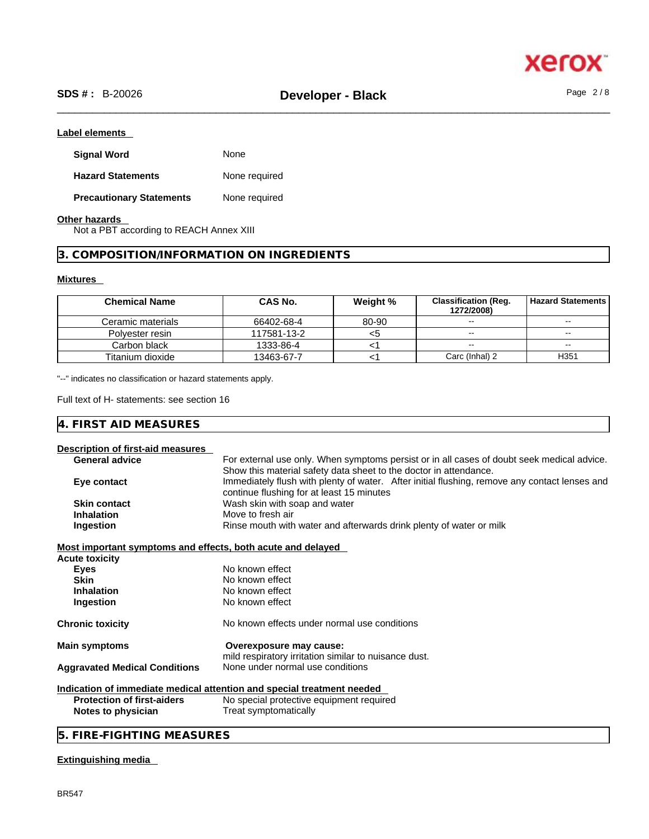

## **Label elements**

| <b>Signal Word</b>              | None          |
|---------------------------------|---------------|
| <b>Hazard Statements</b>        | None required |
| <b>Precautionary Statements</b> | None required |

**Other hazards** 

Not a PBT according to REACH Annex XIII

## **3. COMPOSITION/INFORMATION ON INGREDIENTS**

## **Mixtures**

| <b>Chemical Name</b> | <b>CAS No.</b> | Weight % | <b>Classification (Reg.</b><br>1272/2008) | <b>Hazard Statements I</b> |
|----------------------|----------------|----------|-------------------------------------------|----------------------------|
| Ceramic materials    | 66402-68-4     | 80-90    | $-1$                                      | $\sim$ $\sim$              |
| Polvester resin      | 117581-13-2    | <5       | $- -$                                     | $-$                        |
| Carbon black         | 1333-86-4      |          | $\sim$ $\sim$                             | $\overline{\phantom{m}}$   |
| Titanium dioxide     | 13463-67-7     |          | Carc (Inhal) 2                            | H <sub>351</sub>           |

"--" indicates no classification or hazard statements apply.

Full text of H- statements: see section 16

## **4. FIRST AID MEASURES**

## **Description of first-aid measures**

| 2000 - Public Fillot alumnousu                                                   |                                                                                               |  |
|----------------------------------------------------------------------------------|-----------------------------------------------------------------------------------------------|--|
| <b>General advice</b>                                                            | For external use only. When symptoms persist or in all cases of doubt seek medical advice.    |  |
|                                                                                  | Show this material safety data sheet to the doctor in attendance.                             |  |
| Eye contact                                                                      | Immediately flush with plenty of water. After initial flushing, remove any contact lenses and |  |
|                                                                                  | continue flushing for at least 15 minutes                                                     |  |
| <b>Skin contact</b>                                                              | Wash skin with soap and water                                                                 |  |
| <b>Inhalation</b>                                                                | Move to fresh air                                                                             |  |
| Rinse mouth with water and afterwards drink plenty of water or milk<br>Ingestion |                                                                                               |  |
| Most important symptoms and effects, both acute and delayed                      |                                                                                               |  |
| Acute toxicity                                                                   |                                                                                               |  |
| <b>Eyes</b>                                                                      | No known effect                                                                               |  |
| <b>Skin</b>                                                                      | No known effect                                                                               |  |
| Inhalation                                                                       | No known effect                                                                               |  |
| Ingestion                                                                        | No known effect                                                                               |  |
| <b>Chronic toxicity</b>                                                          | No known effects under normal use conditions                                                  |  |
| <b>Main symptoms</b>                                                             | Overexposure may cause:                                                                       |  |
|                                                                                  | mild respiratory irritation similar to nuisance dust.                                         |  |
| <b>Aggravated Medical Conditions</b>                                             | None under normal use conditions                                                              |  |
|                                                                                  | Indication of immediate medical attention and special treatment needed                        |  |
| <b>Protection of first-aiders</b>                                                | No special protective equipment required                                                      |  |
| Notes to physician                                                               | Treat symptomatically                                                                         |  |
| 5. FIRE-FIGHTING MEASURES                                                        |                                                                                               |  |
|                                                                                  |                                                                                               |  |

## **Extinguishing media**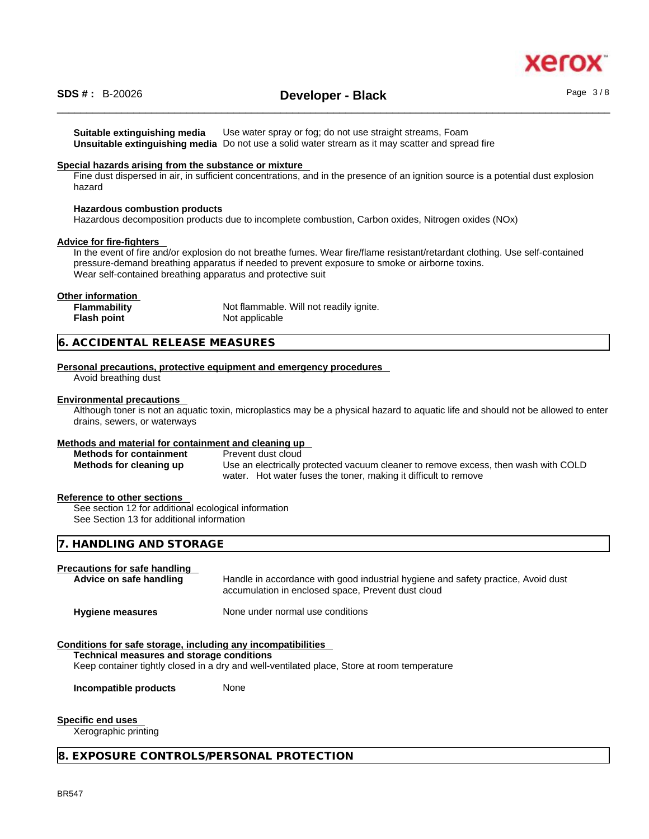

**Suitable extinguishing media** Use water spray or fog; do not use straight streams, Foam **Unsuitable extinguishing media** Do not use a solid water stream as it may scatterand spread fire

#### **Special hazards arising from the substance or mixture**

Fine dust dispersed in air, in sufficient concentrations, and in the presence of an ignition source is a potential dust explosion hazard

## **Hazardous combustion products**

Hazardous decomposition products due to incomplete combustion, Carbon oxides, Nitrogen oxides (NOx)

### **Advice for fire-fighters**

In the event of fire and/or explosion do not breathe fumes. Wear fire/flame resistant/retardant clothing. Use self-contained pressure-demand breathing apparatus if needed to prevent exposure to smoke or airborne toxins. Wear self-contained breathing apparatus and protective suit

#### **Other information**

| <b>Flammability</b> | Not flammable. Will not readily ignite. |
|---------------------|-----------------------------------------|
| Flash point         | Not applicable                          |

#### **6. ACCIDENTAL RELEASE MEASURES**

#### **Personal precautions, protective equipment and emergency procedures**

Avoid breathing dust

#### **Environmental precautions**

Although toner is not an aquatic toxin, microplastics may be a physical hazard to aquatic life and should not be allowed to enter drains, sewers, or waterways

#### **Methods and material for containment and cleaning up**

| <b>Methods for containment</b> | Prevent dust cloud                                                                 |
|--------------------------------|------------------------------------------------------------------------------------|
| Methods for cleaning up        | Use an electrically protected vacuum cleaner to remove excess, then wash with COLD |
|                                | water. Hot water fuses the toner, making it difficult to remove                    |

## **Reference to other sections**

See section 12 for additional ecological information See Section 13 for additional information

## **7. HANDLING AND STORAGE**

#### **Precautions for safe handling**

| Advice on safe handling | Handle in accordance with good industrial hygiene and safety practice, Avoid dust<br>accumulation in enclosed space, Prevent dust cloud |
|-------------------------|-----------------------------------------------------------------------------------------------------------------------------------------|
| <b>Hygiene measures</b> | None under normal use conditions                                                                                                        |

#### **Conditions for safe storage, including any incompatibilities**

#### **Technical measures and storage conditions**

Keep container tightly closed in a dry and well-ventilated place, Store at room temperature

**Incompatible products** None

#### **Specific end uses**

Xerographic printing

#### **8. EXPOSURE CONTROLS/PERSONAL PROTECTION**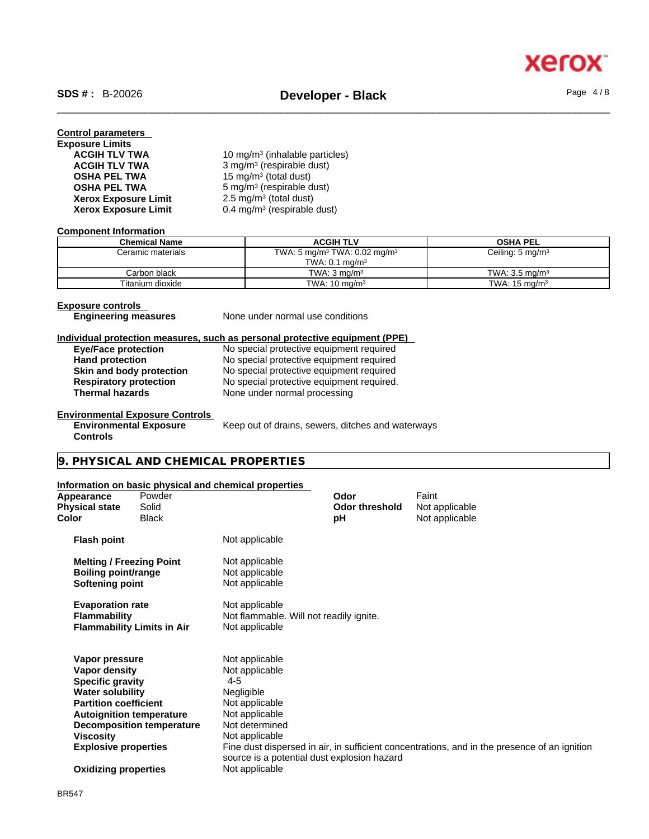| 10 mg/m <sup>3</sup> (inhalable particles) |
|--------------------------------------------|
| 3 mg/m <sup>3</sup> (respirable dust)      |
| 15 mg/m <sup>3</sup> (total dust)          |
| 5 mg/m <sup>3</sup> (respirable dust)      |
| 2.5 mg/m <sup>3</sup> (total dust)         |
| 0.4 mg/m <sup>3</sup> (respirable dust)    |
|                                            |

#### **Component Information**

| <b>Chemical Name</b> | <b>ACGIH TLV</b>                                     | <b>OSHA PEL</b>             |
|----------------------|------------------------------------------------------|-----------------------------|
| Ceramic materials    | TWA: 5 mg/m <sup>3</sup> TWA: 0.02 mg/m <sup>3</sup> | Ceiling: $5 \text{ mg/m}^3$ |
|                      | TWA: $0.1$ mg/m <sup>3</sup>                         |                             |
| Carbon black         | TWA: $3 \text{ ma/m}^3$                              | TWA: $3.5 \text{ ma/m}^3$   |
| Titanium dioxide     | TWA: $10 \text{ mg/m}^3$                             | TWA: $15 \text{ mg/m}^3$    |

**Exposure controls<br>
Engineering measures** 

**None under normal use conditions** 

## **Individual protection measures, such as personal protective equipment (PPE)**

| <b>Eye/Face protection</b>    | No special protective equipment required  |
|-------------------------------|-------------------------------------------|
| <b>Hand protection</b>        | No special protective equipment required  |
| Skin and body protection      | No special protective equipment required  |
| <b>Respiratory protection</b> | No special protective equipment required. |
| <b>Thermal hazards</b>        | None under normal processing              |
|                               |                                           |

## **Environmental Exposure Controls**

**Environmental Exposure Controls** 

Keep out of drains, sewers, ditches and waterways

## **9. PHYSICAL AND CHEMICAL PROPERTIES**

## **Information on basic physical and chemical properties**

| Appearance<br>Physical state<br>Color                                     | Powder<br>Solid<br>Black          |                                                                             | Odor<br><b>Odor threshold</b><br>рH | Faint<br>Not applicable<br>Not applicable                                                    |
|---------------------------------------------------------------------------|-----------------------------------|-----------------------------------------------------------------------------|-------------------------------------|----------------------------------------------------------------------------------------------|
| <b>Flash point</b>                                                        |                                   | Not applicable                                                              |                                     |                                                                                              |
| <b>Melting / Freezing Point</b><br>Boiling point/range<br>Softening point |                                   | Not applicable<br>Not applicable<br>Not applicable                          |                                     |                                                                                              |
| <b>Evaporation rate</b><br><b>Flammability</b>                            | <b>Flammability Limits in Air</b> | Not applicable<br>Not flammable. Will not readily ignite.<br>Not applicable |                                     |                                                                                              |
| Vapor pressure                                                            |                                   | Not applicable                                                              |                                     |                                                                                              |
| Vapor density                                                             |                                   | Not applicable                                                              |                                     |                                                                                              |
| <b>Specific gravity</b>                                                   |                                   | $4 - 5$                                                                     |                                     |                                                                                              |
| <b>Water solubility</b>                                                   |                                   | Negligible                                                                  |                                     |                                                                                              |
| <b>Partition coefficient</b>                                              |                                   | Not applicable                                                              |                                     |                                                                                              |
|                                                                           | <b>Autoignition temperature</b>   | Not applicable                                                              |                                     |                                                                                              |
|                                                                           | <b>Decomposition temperature</b>  | Not determined                                                              |                                     |                                                                                              |
| Viscosity                                                                 |                                   | Not applicable                                                              |                                     |                                                                                              |
| <b>Explosive properties</b>                                               |                                   | source is a potential dust explosion hazard                                 |                                     | Fine dust dispersed in air, in sufficient concentrations, and in the presence of an ignition |
| <b>Oxidizing properties</b>                                               |                                   | Not applicable                                                              |                                     |                                                                                              |
|                                                                           |                                   |                                                                             |                                     |                                                                                              |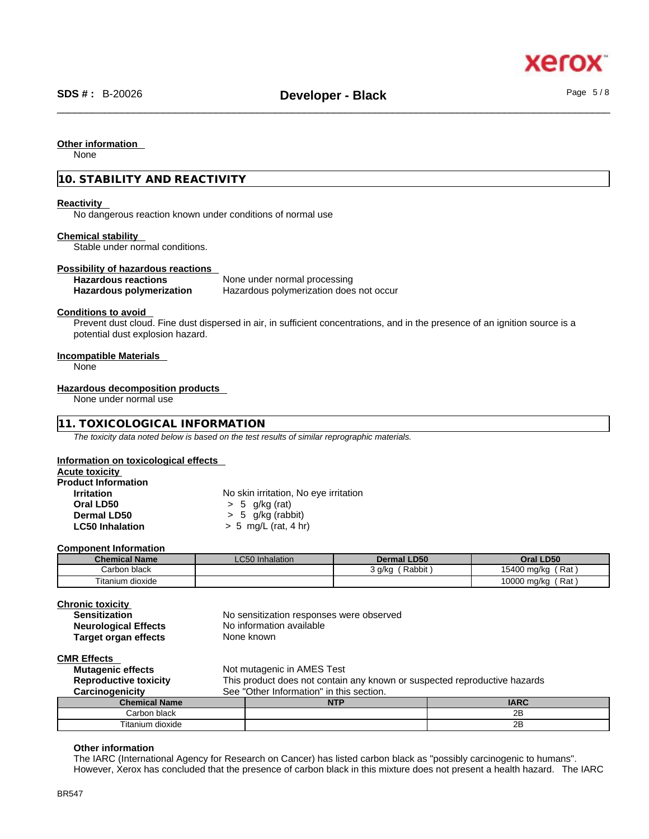#### **Other information**

None

## **10. STABILITY AND REACTIVITY**

#### **Reactivity**

No dangerous reaction known under conditions of normal use

#### **Chemical stability**

Stable under normal conditions.

#### **Possibility of hazardous reactions**

**Hazardous reactions** None under normal processing **Hazardous polymerization** Hazardous polymerization does not occur

#### **Conditions to avoid**

Prevent dust cloud. Fine dust dispersed in air, in sufficient concentrations, and in the presence of an ignition source is a potential dust explosion hazard.

#### **Incompatible Materials**

None

#### **Hazardous decomposition products**

None under normal use

## **11. TOXICOLOGICAL INFORMATION**

*The toxicity data noted below is based on the test results of similar reprographic materials.* 

#### **Information on toxicological effects**

#### **Acute toxicity**

| <b>Product Information</b> |                                       |
|----------------------------|---------------------------------------|
| <b>Irritation</b>          | No skin irritation, No eye irritation |
| Oral LD50                  | $> 5$ g/kg (rat)                      |
| Dermal LD50                | $> 5$ g/kg (rabbit)                   |
| <b>LC50 Inhalation</b>     | $> 5$ mg/L (rat, 4 hr)                |

#### **Component Information**

| <b>Chemical Name</b> | <b>LC50</b> Inhalation | <b>Dermal LD50</b> | Oral LD50              |
|----------------------|------------------------|--------------------|------------------------|
| Carbon black         |                        | Rabbit<br>3 g/kg   | ′ Rat ,<br>15400 mg/kg |
| Fitanium dioxide     |                        |                    | ั Rat .<br>10000 mg/kg |

#### **Chronic toxicity**

| Sensitization               | No sensitization responses were observed |
|-----------------------------|------------------------------------------|
| <b>Neurological Effects</b> | No information available                 |
| Target organ effects        | None known                               |
|                             |                                          |

## **CMR Effects**

| <b>Mutagenic effects</b>     | Not mutagenic in AMES Test                                                |     |             |
|------------------------------|---------------------------------------------------------------------------|-----|-------------|
| <b>Reproductive toxicity</b> | This product does not contain any known or suspected reproductive hazards |     |             |
| Carcinogenicity              | See "Other Information" in this section.                                  |     |             |
| <b>Chemical Name</b>         |                                                                           | NTP | <b>IARC</b> |
| Carbon black                 |                                                                           |     | 2Β          |
| Titanium dioxide             |                                                                           |     | 2Β          |

#### **Other information**

The IARC (International Agency for Research on Cancer) has listed carbon black as "possibly carcinogenic to humans". However, Xerox has concluded that the presence of carbon black in this mixture does not present a health hazard. The IARC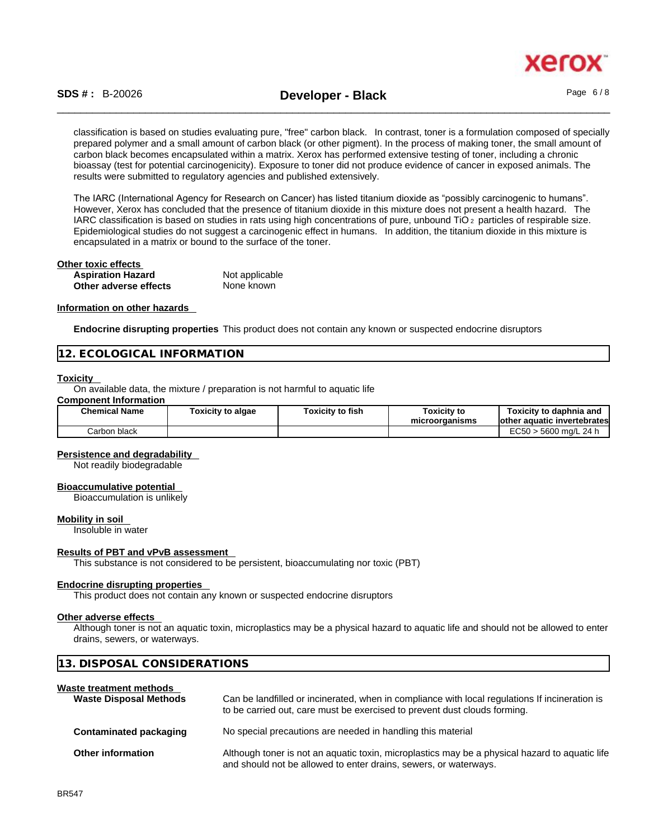

classification is based on studies evaluating pure, "free" carbon black. In contrast, toner is a formulation composed of specially prepared polymer and a small amount of carbon black (or other pigment). In the process of making toner, the small amount of carbon black becomes encapsulated within a matrix. Xerox has performed extensive testing of toner, including a chronic bioassay (test for potential carcinogenicity). Exposure to toner did not produce evidence of cancer in exposed animals. The results were submitted to regulatory agencies and published extensively.

The IARC (International Agency for Research on Cancer) has listed titanium dioxide as "possibly carcinogenic to humans". However, Xerox has concluded that the presence of titanium dioxide in this mixture does not present a health hazard. The IARC classification is based on studies in rats using high concentrations of pure, unbound TiO 2 particles of respirable size. Epidemiological studies do not suggest a carcinogenic effect in humans. In addition, the titanium dioxide in this mixture is encapsulated in a matrix or bound to the surface of the toner.

| Other toxic effects      |                |  |
|--------------------------|----------------|--|
| <b>Aspiration Hazard</b> | Not applicable |  |
| Other adverse effects    | None known     |  |

#### **Information on other hazards**

**Endocrine disrupting properties** This product does not contain any known or suspected endocrine disruptors

#### **12. ECOLOGICAL INFORMATION**

#### **Toxicity**

On available data, the mixture / preparation is not harmful to aquatic life

## **Component Information**

| <b>Chemical Name</b> | <b>Foxicity to algae</b> | Toxicity to fish | <b>Toxicity to</b><br>microorganisms | Toxicitv to daphnia and<br>lother aquatic invertebrates |
|----------------------|--------------------------|------------------|--------------------------------------|---------------------------------------------------------|
| Carbon black         |                          |                  |                                      | TCRO<br>∙ 5600 ma/L 24 h<br>LUJU                        |

#### **Persistence and degradability**

Not readily biodegradable

#### **Bioaccumulative potential**

Bioaccumulation is unlikely

#### **Mobility in soil**

Insoluble in water

#### **Results of PBT and vPvB assessment**

**13. DISPOSAL CONSIDERATIONS** 

This substance is not considered to be persistent, bioaccumulating nor toxic (PBT)

#### **Endocrine disrupting properties**

This product does not contain any known or suspected endocrine disruptors

#### **Other adverse effects**

Although toner is not an aquatic toxin, microplastics may be a physical hazard to aquatic life and should not be allowed to enter drains, sewers, or waterways.

| Waste treatment methods<br><b>Waste Disposal Methods</b> | Can be landfilled or incinerated, when in compliance with local regulations If incineration is<br>to be carried out, care must be exercised to prevent dust clouds forming. |
|----------------------------------------------------------|-----------------------------------------------------------------------------------------------------------------------------------------------------------------------------|
| Contaminated packaging                                   | No special precautions are needed in handling this material                                                                                                                 |
| <b>Other information</b>                                 | Although toner is not an aquatic toxin, microplastics may be a physical hazard to aquatic life<br>and should not be allowed to enter drains, sewers, or waterways.          |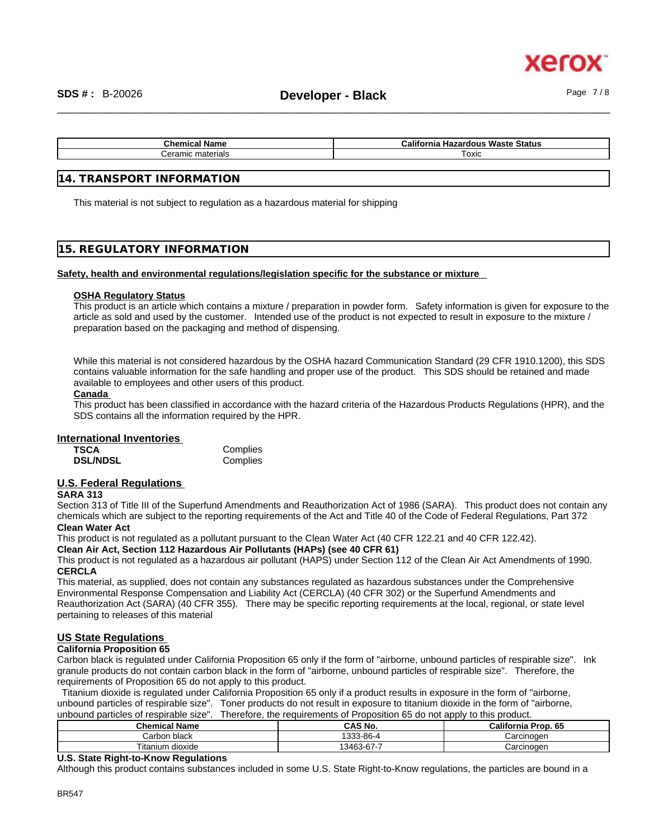xerc

| Chemical<br>Name       | California<br>Status<br>Waste<br>Hazardous |
|------------------------|--------------------------------------------|
| ∶eramıc<br>` materials | ⊺oxic                                      |

### **14. TRANSPORT INFORMATION**

This material is not subject to regulation as a hazardous material for shipping

## **15. REGULATORY INFORMATION**

#### **Safety, health and environmental regulations/legislation specific for the substance or mixture**

#### **OSHA Regulatory Status**

This product is an article which contains a mixture / preparation in powder form. Safety information is given for exposure to the article as sold and used by the customer. Intended use of the product is not expected to result in exposure to the mixture / preparation based on the packaging and method of dispensing.

While this material is not considered hazardous by the OSHA hazard Communication Standard (29 CFR 1910.1200), this SDS contains valuable information for the safe handling and proper use of the product. This SDS should be retained and made available to employees and other users of this product.

#### **Canada**

This product has been classified in accordance with the hazard criteria of the Hazardous Products Regulations (HPR), and the SDS contains all the information required by the HPR.

#### **International Inventories**

| TSCA            | Complies |
|-----------------|----------|
| <b>DSL/NDSL</b> | Complies |

## **U.S. Federal Regulations**

#### **SARA 313**

Section 313 of Title III of the Superfund Amendments and Reauthorization Act of 1986 (SARA). This product does not contain any chemicals which are subject to the reporting requirements of the Act and Title 40 of the Code of Federal Regulations, Part 372 **Clean Water Act**

This product is not regulated as a pollutant pursuant to the Clean Water Act (40 CFR 122.21 and 40 CFR 122.42).

**Clean Air Act,Section 112 Hazardous Air Pollutants (HAPs) (see 40 CFR 61)**

This product is not regulated as a hazardous air pollutant (HAPS) under Section 112 of the Clean Air Act Amendments of 1990. **CERCLA**

This material, as supplied, does not contain any substances regulated as hazardous substances under the Comprehensive Environmental Response Compensation and Liability Act (CERCLA) (40 CFR 302) or the Superfund Amendments and Reauthorization Act (SARA) (40 CFR 355). There may be specific reporting requirements at the local, regional, or state level pertaining to releases of this material

## **US State Regulations**

#### **California Proposition 65**

Carbon black is regulated under California Proposition 65 only if the form of "airborne, unbound particles of respirable size". Ink granule products do not contain carbon black in the form of "airborne, unbound particles of respirable size". Therefore, the requirements of Proposition 65 do not apply to this product.

Titanium dioxide is regulated under California Proposition 65 only if a product results in exposure in the form of "airborne, unbound particles of respirable size". Toner products do not result in exposure to titanium dioxide in the form of "airborne, unbound particles of respirable size". Therefore, the requirements of Proposition 65 do not apply to this product.

| , טבוש טושגטיו וסטטישונט טעוואס אוואס |            |                     |  |
|---------------------------------------|------------|---------------------|--|
| <b>Chemical Name</b>                  | CAS No.    | California Prop. 65 |  |
| Carbon black                          | 1333-86-4  | Carcinogen          |  |
| Titanium dioxide                      | 13463-67-7 | Carcinogen          |  |

### **U.S. State Right-to-Know Regulations**

Although this product contains substances included in some U.S. State Right-to-Know regulations, the particles are bound in a